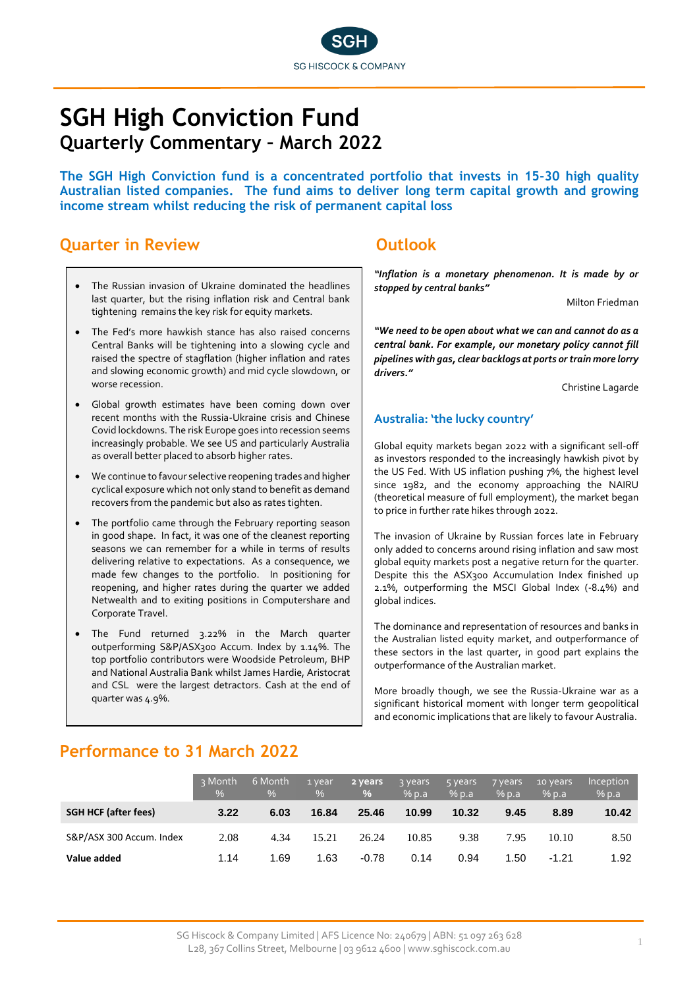

# **SGH High Conviction Fund Quarterly Commentary – March 2022**

**The SGH High Conviction fund is a concentrated portfolio that invests in 15-30 high quality Australian listed companies. The fund aims to deliver long term capital growth and growing income stream whilst reducing the risk of permanent capital loss**

### **Quarter in Review <b>COUTS COUTS OUTIVE**

- The Russian invasion of Ukraine dominated the headlines last quarter, but the rising inflation risk and Central bank tightening remains the key risk for equity markets.
- The Fed's more hawkish stance has also raised concerns Central Banks will be tightening into a slowing cycle and raised the spectre of stagflation (higher inflation and rates and slowing economic growth) and mid cycle slowdown, or worse recession.
- Global growth estimates have been coming down over recent months with the Russia-Ukraine crisis and Chinese Covid lockdowns. The risk Europe goes into recession seems increasingly probable. We see US and particularly Australia as overall better placed to absorb higher rates.
- We continue to favour selective reopening trades and higher cyclical exposure which not only stand to benefit as demand recovers from the pandemic but also as rates tighten.
- The portfolio came through the February reporting season in good shape. In fact, it was one of the cleanest reporting seasons we can remember for a while in terms of results delivering relative to expectations. As a consequence, we made few changes to the portfolio. In positioning for reopening, and higher rates during the quarter we added Netwealth and to exiting positions in Computershare and Corporate Travel.
- The Fund returned 3.22% in the March quarter outperforming S&P/ASX300 Accum. Index by 1.14%. The top portfolio contributors were Woodside Petroleum, BHP and National Australia Bank whilst James Hardie, Aristocrat and CSL were the largest detractors. Cash at the end of quarter was 4.9%.

*"Inflation is a monetary phenomenon. It is made by or stopped by central banks"*

Milton Friedman

*"We need to be open about what we can and cannot do as a central bank. For example, our monetary policy cannot fill pipelines with gas, clear backlogs at ports or train more lorry drivers."*

Christine Lagarde

#### **Australia: 'the lucky country'**

Global equity markets began 2022 with a significant sell-off as investors responded to the increasingly hawkish pivot by the US Fed. With US inflation pushing 7%, the highest level since 1982, and the economy approaching the NAIRU (theoretical measure of full employment), the market began to price in further rate hikes through 2022.

The invasion of Ukraine by Russian forces late in February only added to concerns around rising inflation and saw most global equity markets post a negative return for the quarter. Despite this the ASX300 Accumulation Index finished up 2.1%, outperforming the MSCI Global Index (-8.4%) and global indices.

The dominance and representation of resources and banks in the Australian listed equity market, and outperformance of these sectors in the last quarter, in good part explains the outperformance of the Australian market.

More broadly though, we see the Russia-Ukraine war as a significant historical moment with longer term geopolitical and economic implications that are likely to favour Australia.

### **Performance to 31 March 2022**

|                             | २ Month<br>$\frac{0}{0}$ | 6 Month<br>$\frac{0}{6}$ | 1 year<br>$\frac{0}{0}$ | 2 years<br>$\%$ | <b>3 years</b><br>$%$ p.a | 5 years<br>% p.a | 7 years<br>$%$ p.a | 10 years<br>$%$ p.a | Inception<br>% p.a |
|-----------------------------|--------------------------|--------------------------|-------------------------|-----------------|---------------------------|------------------|--------------------|---------------------|--------------------|
| <b>SGH HCF (after fees)</b> | 3.22                     | 6.03                     | 16.84                   | 25.46           | 10.99                     | 10.32            | 9.45               | 8.89                | 10.42              |
| S&P/ASX 300 Accum. Index    | 2.08                     | 4.34                     | 15.21                   | 26.24           | 10.85                     | 9.38             | 7.95               | 10.10               | 8.50               |
| Value added                 | 1.14                     | 1.69                     | 1.63                    | $-0.78$         | 0.14                      | 0.94             | 1.50               | $-1.21$             | 1.92               |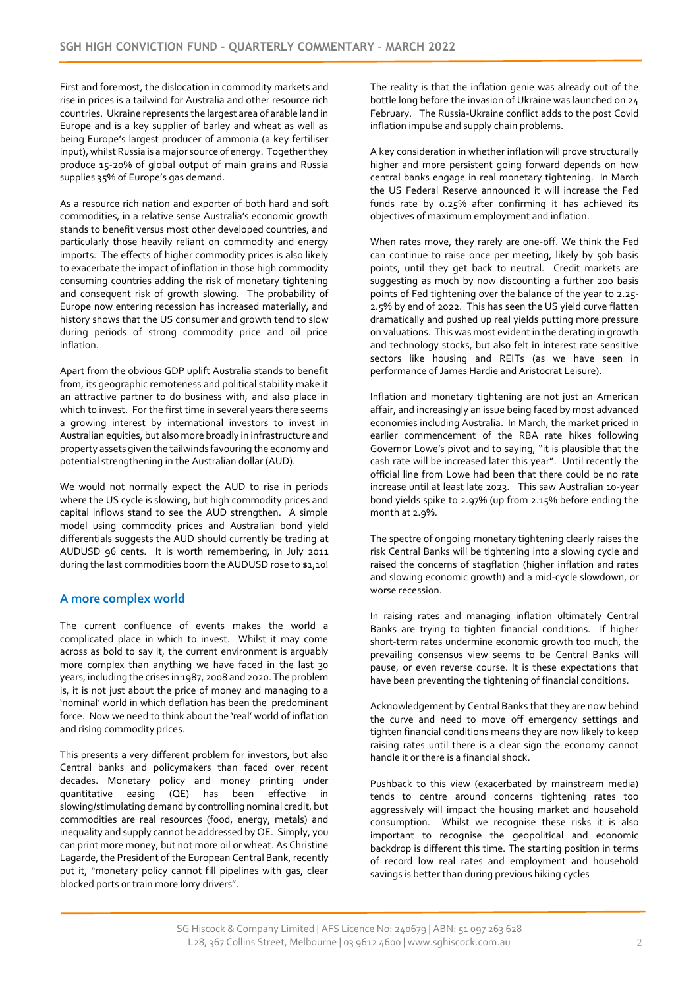First and foremost, the dislocation in commodity markets and rise in prices is a tailwind for Australia and other resource rich countries. Ukraine represents the largest area of arable land in Europe and is a key supplier of barley and wheat as well as being Europe's largest producer of ammonia (a key fertiliser input), whilst Russia is a major source of energy. Together they produce 15-20% of global output of main grains and Russia supplies 35% of Europe's gas demand.

As a resource rich nation and exporter of both hard and soft commodities, in a relative sense Australia's economic growth stands to benefit versus most other developed countries, and particularly those heavily reliant on commodity and energy imports. The effects of higher commodity prices is also likely to exacerbate the impact of inflation in those high commodity consuming countries adding the risk of monetary tightening and consequent risk of growth slowing. The probability of Europe now entering recession has increased materially, and history shows that the US consumer and growth tend to slow during periods of strong commodity price and oil price inflation.

Apart from the obvious GDP uplift Australia stands to benefit from, its geographic remoteness and political stability make it an attractive partner to do business with, and also place in which to invest. For the first time in several years there seems a growing interest by international investors to invest in Australian equities, but also more broadly in infrastructure and property assets given the tailwinds favouring the economy and potential strengthening in the Australian dollar (AUD).

We would not normally expect the AUD to rise in periods where the US cycle is slowing, but high commodity prices and capital inflows stand to see the AUD strengthen. A simple model using commodity prices and Australian bond yield differentials suggests the AUD should currently be trading at AUDUSD 96 cents. It is worth remembering, in July 2011 during the last commodities boom the AUDUSD rose to \$1,10!

#### **A more complex world**

The current confluence of events makes the world a complicated place in which to invest. Whilst it may come across as bold to say it, the current environment is arguably more complex than anything we have faced in the last 30 years, including the crises in 1987, 2008 and 2020. The problem is, it is not just about the price of money and managing to a 'nominal' world in which deflation has been the predominant force. Now we need to think about the 'real' world of inflation and rising commodity prices.

This presents a very different problem for investors, but also Central banks and policymakers than faced over recent decades. Monetary policy and money printing under quantitative easing  $(QE)$  has been effective slowing/stimulating demand by controlling nominal credit, but commodities are real resources (food, energy, metals) and inequality and supply cannot be addressed by QE. Simply, you can print more money, but not more oil or wheat. As Christine Lagarde, the President of the European Central Bank, recently put it, "monetary policy cannot fill pipelines with gas, clear blocked ports or train more lorry drivers".

The reality is that the inflation genie was already out of the bottle long before the invasion of Ukraine was launched on 24 February. The Russia-Ukraine conflict adds to the post Covid inflation impulse and supply chain problems.

A key consideration in whether inflation will prove structurally higher and more persistent going forward depends on how central banks engage in real monetary tightening. In March the US Federal Reserve announced it will increase the Fed funds rate by 0.25% after confirming it has achieved its objectives of maximum employment and inflation.

When rates move, they rarely are one-off. We think the Fed can continue to raise once per meeting, likely by 50b basis points, until they get back to neutral. Credit markets are suggesting as much by now discounting a further 200 basis points of Fed tightening over the balance of the year to 2.25- 2.5% by end of 2022. This has seen the US yield curve flatten dramatically and pushed up real yields putting more pressure on valuations. This was most evident in the derating in growth and technology stocks, but also felt in interest rate sensitive sectors like housing and REITs (as we have seen in performance of James Hardie and Aristocrat Leisure).

Inflation and monetary tightening are not just an American affair, and increasingly an issue being faced by most advanced economies including Australia. In March, the market priced in earlier commencement of the RBA rate hikes following Governor Lowe's pivot and to saying, "it is plausible that the cash rate will be increased later this year". Until recently the official line from Lowe had been that there could be no rate increase until at least late 2023. This saw Australian 10-year bond yields spike to 2.97% (up from 2.15% before ending the month at 2.9%.

The spectre of ongoing monetary tightening clearly raises the risk Central Banks will be tightening into a slowing cycle and raised the concerns of stagflation (higher inflation and rates and slowing economic growth) and a mid-cycle slowdown, or worse recession.

In raising rates and managing inflation ultimately Central Banks are trying to tighten financial conditions. If higher short-term rates undermine economic growth too much, the prevailing consensus view seems to be Central Banks will pause, or even reverse course. It is these expectations that have been preventing the tightening of financial conditions.

Acknowledgement by Central Banks that they are now behind the curve and need to move off emergency settings and tighten financial conditions means they are now likely to keep raising rates until there is a clear sign the economy cannot handle it or there is a financial shock.

Pushback to this view (exacerbated by mainstream media) tends to centre around concerns tightening rates too aggressively will impact the housing market and household consumption. Whilst we recognise these risks it is also important to recognise the geopolitical and economic backdrop is different this time. The starting position in terms of record low real rates and employment and household savings is better than during previous hiking cycles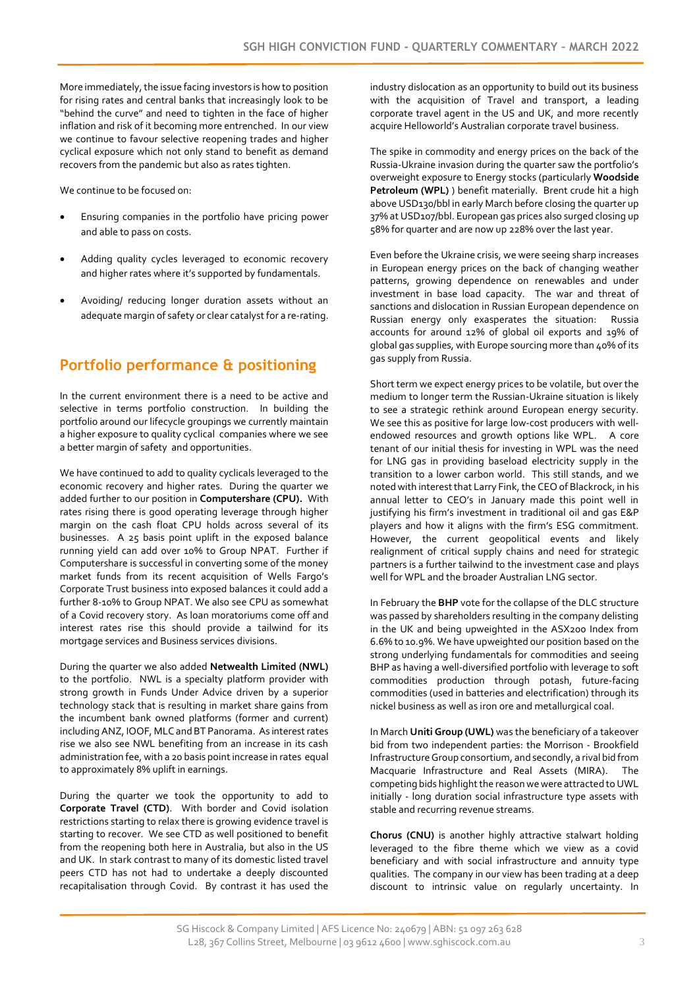More immediately, the issue facing investors is how to position for rising rates and central banks that increasingly look to be "behind the curve" and need to tighten in the face of higher inflation and risk of it becoming more entrenched. In our view we continue to favour selective reopening trades and higher cyclical exposure which not only stand to benefit as demand recovers from the pandemic but also as rates tighten.

We continue to be focused on:

- Ensuring companies in the portfolio have pricing power and able to pass on costs.
- Adding quality cycles leveraged to economic recovery and higher rates where it's supported by fundamentals.
- Avoiding/ reducing longer duration assets without an adequate margin of safety or clear catalyst for a re-rating.

### **Portfolio performance & positioning**

In the current environment there is a need to be active and selective in terms portfolio construction. In building the portfolio around our lifecycle groupings we currently maintain a higher exposure to quality cyclical companies where we see a better margin of safety and opportunities.

We have continued to add to quality cyclicals leveraged to the economic recovery and higher rates. During the quarter we added further to our position in **Computershare (CPU).** With rates rising there is good operating leverage through higher margin on the cash float CPU holds across several of its businesses. A 25 basis point uplift in the exposed balance running yield can add over 10% to Group NPAT. Further if Computershare is successful in converting some of the money market funds from its recent acquisition of Wells Fargo's Corporate Trust business into exposed balances it could add a further 8-10% to Group NPAT. We also see CPU as somewhat of a Covid recovery story. As loan moratoriums come off and interest rates rise this should provide a tailwind for its mortgage services and Business services divisions.

During the quarter we also added **Netwealth Limited (NWL)** to the portfolio. NWL is a specialty platform provider with strong growth in Funds Under Advice driven by a superior technology stack that is resulting in market share gains from the incumbent bank owned platforms (former and current) including ANZ, IOOF, MLC and BT Panorama. As interest rates rise we also see NWL benefiting from an increase in its cash administration fee, with a 20 basis point increase in rates equal to approximately 8% uplift in earnings.

During the quarter we took the opportunity to add to **Corporate Travel (CTD)**. With border and Covid isolation restrictions starting to relax there is growing evidence travel is starting to recover. We see CTD as well positioned to benefit from the reopening both here in Australia, but also in the US and UK. In stark contrast to many of its domestic listed travel peers CTD has not had to undertake a deeply discounted recapitalisation through Covid. By contrast it has used the

industry dislocation as an opportunity to build out its business with the acquisition of Travel and transport, a leading corporate travel agent in the US and UK, and more recently acquire Helloworld's Australian corporate travel business.

The spike in commodity and energy prices on the back of the Russia-Ukraine invasion during the quarter saw the portfolio's overweight exposure to Energy stocks (particularly **Woodside Petroleum (WPL)** ) benefit materially. Brent crude hit a high above USD130/bbl in early March before closing the quarter up 37% at USD107/bbl. European gas prices also surged closing up 58% for quarter and are now up 228% over the last year.

Even before the Ukraine crisis, we were seeing sharp increases in European energy prices on the back of changing weather patterns, growing dependence on renewables and under investment in base load capacity. The war and threat of sanctions and dislocation in Russian European dependence on Russian energy only exasperates the situation: Russia accounts for around 12% of global oil exports and 19% of global gas supplies, with Europe sourcing more than 40% of its gas supply from Russia.

Short term we expect energy prices to be volatile, but over the medium to longer term the Russian-Ukraine situation is likely to see a strategic rethink around European energy security. We see this as positive for large low-cost producers with wellendowed resources and growth options like WPL. A core tenant of our initial thesis for investing in WPL was the need for LNG gas in providing baseload electricity supply in the transition to a lower carbon world. This still stands, and we noted with interest that Larry Fink, the CEO of Blackrock, in his annual letter to CEO's in January made this point well in justifying his firm's investment in traditional oil and gas E&P players and how it aligns with the firm's ESG commitment. However, the current geopolitical events and likely realignment of critical supply chains and need for strategic partners is a further tailwind to the investment case and plays well for WPL and the broader Australian LNG sector.

In February the **BHP** vote for the collapse of the DLC structure was passed by shareholders resulting in the company delisting in the UK and being upweighted in the ASX200 Index from 6.6% to 10.9%. We have upweighted our position based on the strong underlying fundamentals for commodities and seeing BHP as having a well-diversified portfolio with leverage to soft commodities production through potash, future-facing commodities (used in batteries and electrification) through its nickel business as well as iron ore and metallurgical coal.

In March **Uniti Group (UWL)** was the beneficiary of a takeover bid from two independent parties: the Morrison - Brookfield Infrastructure Group consortium, and secondly, a rival bid from Macquarie Infrastructure and Real Assets (MIRA). The competing bids highlight the reason we were attracted to UWL initially - long duration social infrastructure type assets with stable and recurring revenue streams.

**Chorus (CNU)** is another highly attractive stalwart holding leveraged to the fibre theme which we view as a covid beneficiary and with social infrastructure and annuity type qualities. The company in our view has been trading at a deep discount to intrinsic value on regularly uncertainty. In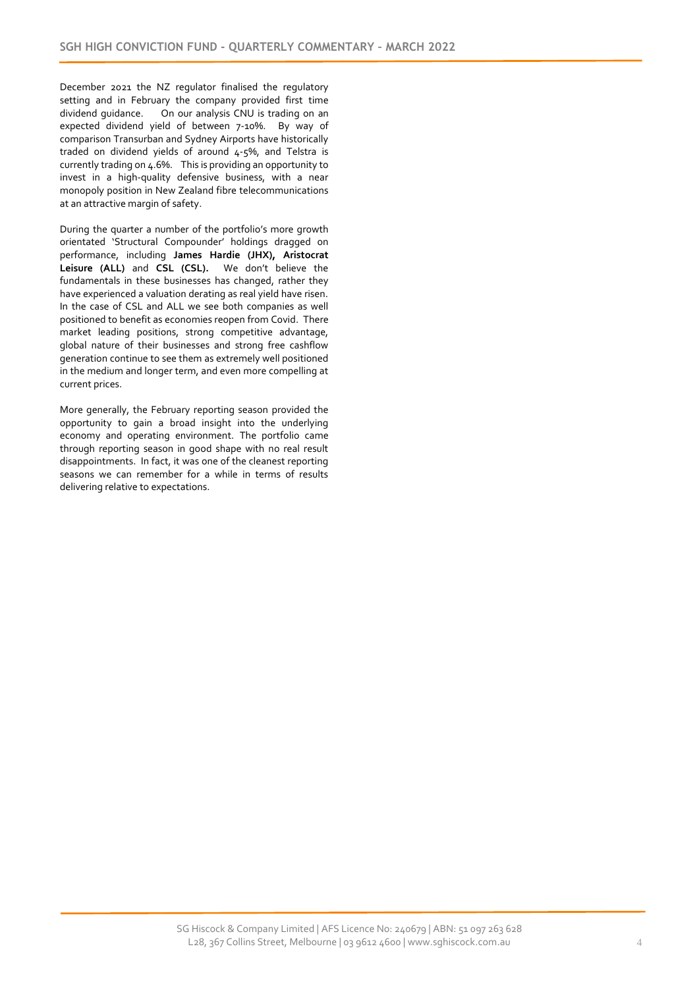December 2021 the NZ regulator finalised the regulatory setting and in February the company provided first time<br>dividend quidance. On our analysis CNU is trading on an On our analysis CNU is trading on an expected dividend yield of between 7-10%. By way of comparison Transurban and Sydney Airports have historically traded on dividend yields of around 4-5%, and Telstra is currently trading on 4.6%. This is providing an opportunity to invest in a high-quality defensive business, with a near monopoly position in New Zealand fibre telecommunications at an attractive margin of safety.

During the quarter a number of the portfolio's more growth orientated 'Structural Compounder' holdings dragged on performance, including **James Hardie (JHX), Aristocrat Leisure (ALL)** and **CSL (CSL).** We don't believe the fundamentals in these businesses has changed, rather they have experienced a valuation derating as real yield have risen. In the case of CSL and ALL we see both companies as well positioned to benefit as economies reopen from Covid. There market leading positions, strong competitive advantage, global nature of their businesses and strong free cashflow generation continue to see them as extremely well positioned in the medium and longer term, and even more compelling at current prices.

More generally, the February reporting season provided the opportunity to gain a broad insight into the underlying economy and operating environment. The portfolio came through reporting season in good shape with no real result disappointments. In fact, it was one of the cleanest reporting seasons we can remember for a while in terms of results delivering relative to expectations.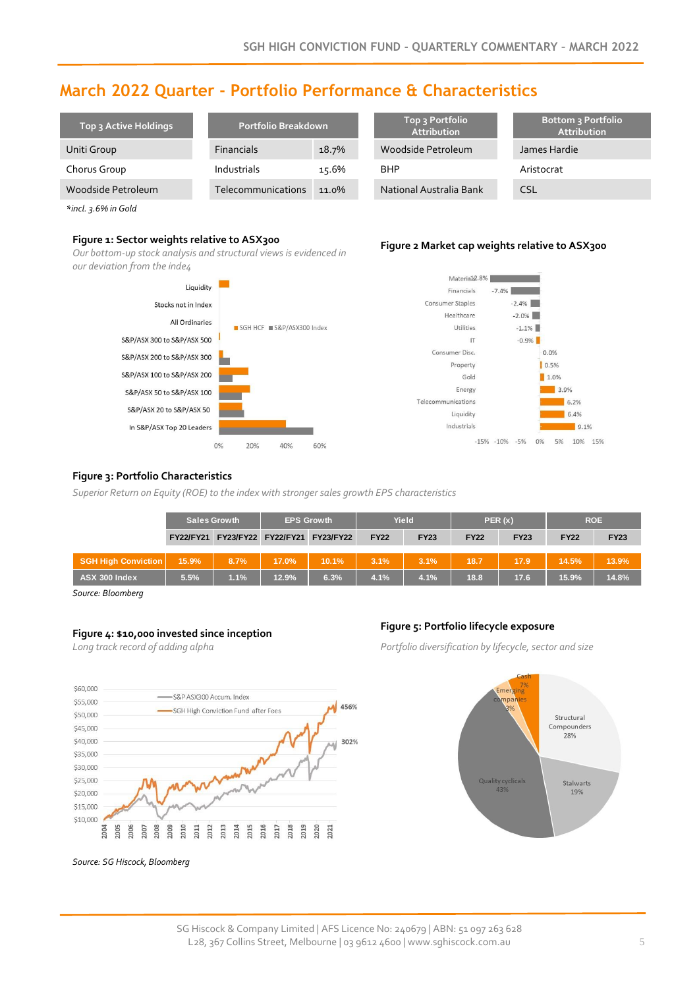## **March 2022 Quarter - Portfolio Performance & Characteristics**

| Top 3 Active Holdings | Portfolio Breakdown |       | Top 3 Portfolio<br><b>Attribution</b> | <b>Bottom 3 Portfolio</b><br>Attribution |  |
|-----------------------|---------------------|-------|---------------------------------------|------------------------------------------|--|
| Uniti Group           | <b>Financials</b>   | 18.7% | Woodside Petroleum                    | James Hardie                             |  |
| Chorus Group          | Industrials         | 15.6% | <b>BHP</b>                            | Aristocrat                               |  |
| Woodside Petroleum    | Telecommunications  | 11.0% | National Australia Bank               | <b>CSL</b>                               |  |

*\*incl. 3.6% in Gold*

#### **Figure 1: Sector weights relative to ASX300**

*Our bottom-up stock analysis and structural views is evidenced in our deviation from the inde4*







#### **Figure 3: Portfolio Characteristics**

*Superior Return on Equity (ROE) to the index with stronger sales growth EPS characteristics*

|                            | <b>Sales Growth</b> |      | <b>EPS Growth</b> |                                         | Yield       |             | PER(x)      |             | <b>ROE</b>  |             |
|----------------------------|---------------------|------|-------------------|-----------------------------------------|-------------|-------------|-------------|-------------|-------------|-------------|
|                            |                     |      |                   | FY22/FY21 FY23/FY22 FY22/FY21 FY23/FY22 | <b>FY22</b> | <b>FY23</b> | <b>FY22</b> | <b>FY23</b> | <b>FY22</b> | <b>FY23</b> |
| <b>SGH High Conviction</b> | 15.9%               | 8.7% | 17.0%             | 10.1%                                   | 3.1%        | 3.1%        | 18.7        | 17.9        | 14.5%       | 13.9%       |
| <b>ASX 300 Index</b>       | 5.5%                | 1.1% | 12.9%             | 6.3%                                    | 4.1%        | 4.1%        | 18.8        | 17.6        | 15.9%       | 14.8%       |

*Source: Bloomberg* 

### **Figure 4: \$10,000 invested since inception Figure 5: Portfolio lifecycle exposure**

*Long track record of adding alpha*



*Portfolio diversification by lifecycle, sector and size*



*Source: SG Hiscock, Bloomberg*